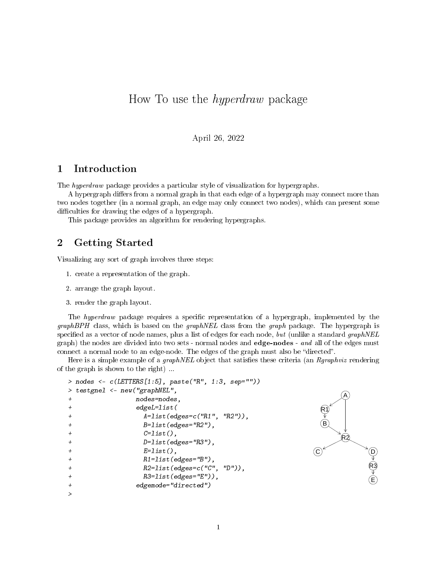# How To use the hyperdraw package

April 26, 2022

## 1 Introduction

The hyperdraw package provides a particular style of visualization for hypergraphs.

A hypergraph differs from a normal graph in that each edge of a hypergraph may connect more than two nodes together (in a normal graph, an edge may only connect two nodes), which can present some difficulties for drawing the edges of a hypergraph.

This package provides an algorithm for rendering hypergraphs.

# 2 Getting Started

Visualizing any sort of graph involves three steps:

- 1. create a representation of the graph.
- 2. arrange the graph layout.
- 3. render the graph layout.

The *hyperdraw* package requires a specific representation of a hypergraph, implemented by the  $graphBPH$  class, which is based on the  $graphNEL$  class from the graph package. The hypergraph is specified as a vector of node names, plus a list of edges for each node, but (unlike a standard graphNEL graph) the nodes are divided into two sets - normal nodes and **edge-nodes** - and all of the edges must connect a normal node to an edge-node. The edges of the graph must also be "directed".

Here is a simple example of a *graphNEL* object that satisfies these criteria (an  $Rgraphviz$  rendering of the graph is shown to the right) ...

```
> nodes <- c(LETTERS[1:5], paste("R", 1:3, sep=""))
> testgnel <- new("graphNEL",
+ nodes=nodes,
+ edgeL=list(
+ A=list(edges=c("R1", "R2")),
+ B=list(edges="R2"),
+ C=list(),
+ D=list(edges="R3"),
+ E=list(),
             R1 = list(edges = "B"),
+ R2=list(edges=c("C", "D")),
+ R3=list(edges="E")),
+ edgemode="directed")
>
```
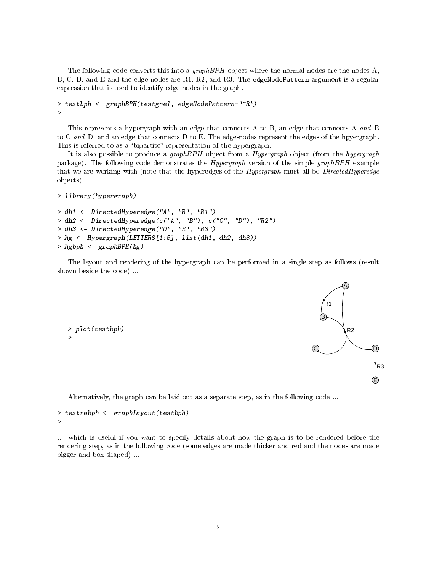The following code converts this into a graph  $BPH$  object where the normal nodes are the nodes A, B, C, D, and E and the edge-nodes are R1, R2, and R3. The edgeNodePattern argument is a regular expression that is used to identify edge-nodes in the graph.

```
> testbph <- graphBPH(testgnel, edgeNodePattern="^R")
>
```
This represents a hypergraph with an edge that connects A to B, an edge that connects A and B to C and D, and an edge that connects D to E. The edge-nodes represent the edges of the hpyergraph. This is referred to as a "bipartite" representation of the hypergraph.

It is also possible to produce a graphBPH object from a Hypergraph object (from the hypergraph package). The following code demonstrates the Hypergraph version of the simple graphBPH example that we are working with (note that the hyperedges of the *Hypergraph* must all be *DirectedHyperedge* objects).

```
> library(hypergraph)
```

```
> dh1 <- DirectedHyperedge("A", "B", "R1")
> dh2 <- DirectedHyperedge(c("A", "B"), c("C", "D"), "R2")
> dh3 <- DirectedHyperedge("D", "E", "R3")
> hg <- Hypergraph(LETTERS[1:5], list(dh1, dh2, dh3))
> hgbph <- graphBPH(hg)
```
The layout and rendering of the hypergraph can be performed in a single step as follows (result shown beside the code) ...

```
> plot(testbph)
>
```


Alternatively, the graph can be laid out as a separate step, as in the following code ...

```
> testrabph <- graphLayout(testbph)
>
```
... which is useful if you want to specify details about how the graph is to be rendered before the rendering step, as in the following code (some edges are made thicker and red and the nodes are made bigger and box-shaped) ...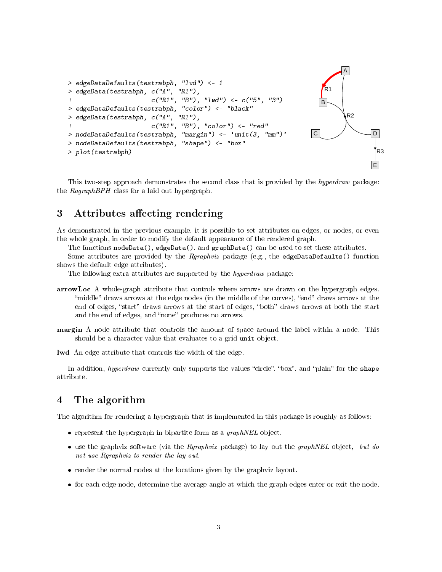

This two-step approach demonstrates the second class that is provided by the *hyperdraw* package: the  $RagnaphBPH$  class for a laid out hypergraph.

### 3 Attributes affecting rendering

As demonstrated in the previous example, it is possible to set attributes on edges, or nodes, or even the whole graph, in order to modify the default appearance of the rendered graph.

The functions nodeData(), edgeData(), and graphData() can be used to set these attributes.

Some attributes are provided by the  $Rgraphviz$  package (e.g., the edgeDataDefaults() function shows the default edge attributes).

The following extra attributes are supported by the *hyperdraw* package:

- arrowLoc A whole-graph attribute that controls where arrows are drawn on the hypergraph edges. "middle" draws arrows at the edge nodes (in the middle of the curves), "end" draws arrows at the end of edges, "start" draws arrows at the start of edges, "both" draws arrows at both the start and the end of edges, and "none" produces no arrows.
- margin A node attribute that controls the amount of space around the label within a node. This should be a character value that evaluates to a grid unit object.

lwd An edge attribute that controls the width of the edge.

In addition, hyperdraw currently only supports the values "circle", "box", and "plain" for the shape attribute.

## 4 The algorithm

The algorithm for rendering a hypergraph that is implemented in this package is roughly as follows:

- **•** represent the hypergraph in bipartite form as a  $graphNEL$  object.
- use the graphviz software (via the  $Rgraphviz$  package) to lay out the graphNEL object, but do not use Rgraphviz to render the lay out.
- render the normal nodes at the locations given by the graphviz layout.
- for each edge-node, determine the average angle at which the graph edges enter or exit the node.